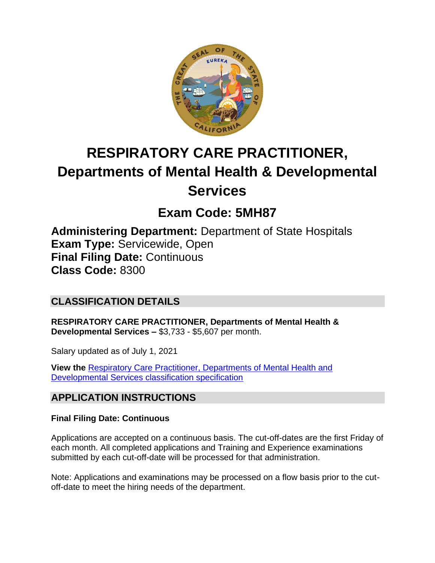

# **RESPIRATORY CARE PRACTITIONER, Departments of Mental Health & Developmental Services**

## **Exam Code: 5MH87**

**Administering Department:** Department of State Hospitals **Exam Type:** Servicewide, Open **Final Filing Date:** Continuous **Class Code:** 8300

## **CLASSIFICATION DETAILS**

**RESPIRATORY CARE PRACTITIONER, Departments of Mental Health & Developmental Services –** \$3,733 - \$5,607 per month.

Salary updated as of July 1, 2021

**View the** [Respiratory Care Practitioner, Departments of Mental Health and](https://www.calhr.ca.gov/state-hr-professionals/pages/8300.aspx)  [Developmental Services classification specification](https://www.calhr.ca.gov/state-hr-professionals/pages/8300.aspx)

## **APPLICATION INSTRUCTIONS**

#### **Final Filing Date: Continuous**

Applications are accepted on a continuous basis. The cut-off-dates are the first Friday of each month. All completed applications and Training and Experience examinations submitted by each cut-off-date will be processed for that administration.

Note: Applications and examinations may be processed on a flow basis prior to the cutoff-date to meet the hiring needs of the department.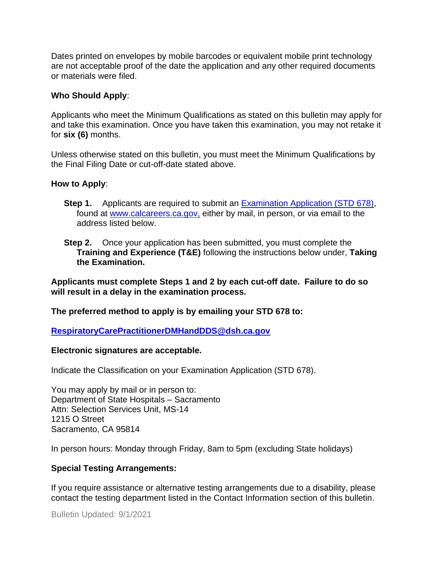Dates printed on envelopes by mobile barcodes or equivalent mobile print technology are not acceptable proof of the date the application and any other required documents or materials were filed.

#### **Who Should Apply**:

Applicants who meet the Minimum Qualifications as stated on this bulletin may apply for and take this examination. Once you have taken this examination, you may not retake it for **six (6)** months.

Unless otherwise stated on this bulletin, you must meet the Minimum Qualifications by the Final Filing Date or cut-off-date stated above.

#### **How to Apply**:

- **Step 1.** Applicants are required to submit an [Examination Application \(STD 678\),](https://jobs.ca.gov/pdf/std678.pdf) found at [www.calcareers.ca.gov,](http://www.calcareers.ca.gov/) either by mail, in person, or via email to the address listed below.
- **Step 2.** Once your application has been submitted, you must complete the **Training and Experience (T&E)** following the instructions below under, **Taking the Examination.**

**Applicants must complete Steps 1 and 2 by each cut-off date. Failure to do so will result in a delay in the examination process.**

**The preferred method to apply is by emailing your STD 678 to:**

**[RespiratoryCarePractitionerDMHandDDS@dsh.ca.gov](mailto:RespiratoryCarePractitionerDMHandDDS@dsh.ca.gov)**

#### **Electronic signatures are acceptable.**

Indicate the Classification on your Examination Application (STD 678).

You may apply by mail or in person to: Department of State Hospitals – Sacramento Attn: Selection Services Unit, MS-14 1215 O Street Sacramento, CA 95814

In person hours: Monday through Friday, 8am to 5pm (excluding State holidays)

#### **Special Testing Arrangements:**

If you require assistance or alternative testing arrangements due to a disability, please contact the testing department listed in the Contact Information section of this bulletin.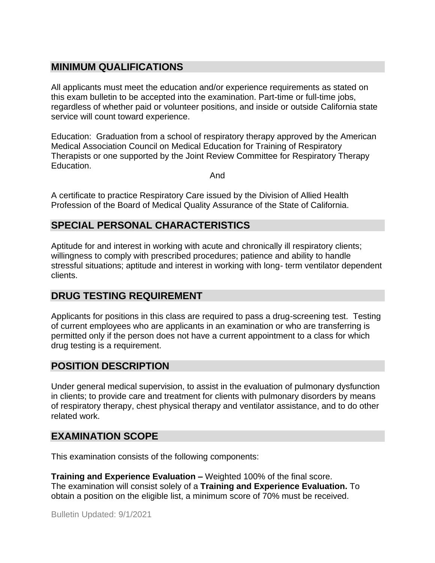## **MINIMUM QUALIFICATIONS**

All applicants must meet the education and/or experience requirements as stated on this exam bulletin to be accepted into the examination. Part-time or full-time jobs, regardless of whether paid or volunteer positions, and inside or outside California state service will count toward experience.

Education: Graduation from a school of respiratory therapy approved by the American Medical Association Council on Medical Education for Training of Respiratory Therapists or one supported by the Joint Review Committee for Respiratory Therapy Education.

And

A certificate to practice Respiratory Care issued by the Division of Allied Health Profession of the Board of Medical Quality Assurance of the State of California.

#### **SPECIAL PERSONAL CHARACTERISTICS**

Aptitude for and interest in working with acute and chronically ill respiratory clients; willingness to comply with prescribed procedures; patience and ability to handle stressful situations; aptitude and interest in working with long- term ventilator dependent clients.

## **DRUG TESTING REQUIREMENT**

Applicants for positions in this class are required to pass a drug-screening test. Testing of current employees who are applicants in an examination or who are transferring is permitted only if the person does not have a current appointment to a class for which drug testing is a requirement.

## **POSITION DESCRIPTION**

Under general medical supervision, to assist in the evaluation of pulmonary dysfunction in clients; to provide care and treatment for clients with pulmonary disorders by means of respiratory therapy, chest physical therapy and ventilator assistance, and to do other related work.

#### **EXAMINATION SCOPE**

This examination consists of the following components:

**Training and Experience Evaluation –** Weighted 100% of the final score. The examination will consist solely of a **Training and Experience Evaluation.** To obtain a position on the eligible list, a minimum score of 70% must be received.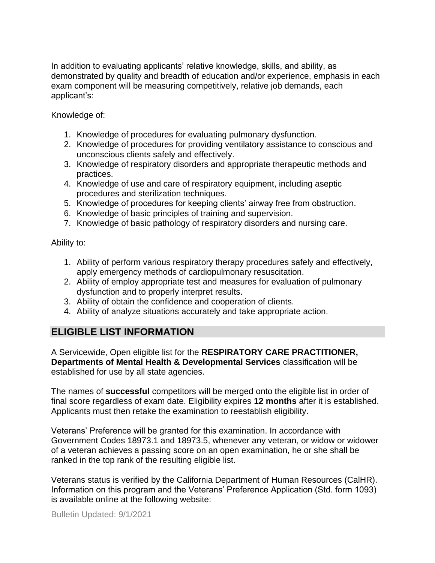In addition to evaluating applicants' relative knowledge, skills, and ability, as demonstrated by quality and breadth of education and/or experience, emphasis in each exam component will be measuring competitively, relative job demands, each applicant's:

Knowledge of:

- 1. Knowledge of procedures for evaluating pulmonary dysfunction.
- 2. Knowledge of procedures for providing ventilatory assistance to conscious and unconscious clients safely and effectively.
- 3. Knowledge of respiratory disorders and appropriate therapeutic methods and practices.
- 4. Knowledge of use and care of respiratory equipment, including aseptic procedures and sterilization techniques.
- 5. Knowledge of procedures for keeping clients' airway free from obstruction.
- 6. Knowledge of basic principles of training and supervision.
- 7. Knowledge of basic pathology of respiratory disorders and nursing care.

Ability to:

- 1. Ability of perform various respiratory therapy procedures safely and effectively, apply emergency methods of cardiopulmonary resuscitation.
- 2. Ability of employ appropriate test and measures for evaluation of pulmonary dysfunction and to properly interpret results.
- 3. Ability of obtain the confidence and cooperation of clients.
- 4. Ability of analyze situations accurately and take appropriate action.

## **ELIGIBLE LIST INFORMATION**

A Servicewide, Open eligible list for the **RESPIRATORY CARE PRACTITIONER, Departments of Mental Health & Developmental Services** classification will be established for use by all state agencies.

The names of **successful** competitors will be merged onto the eligible list in order of final score regardless of exam date. Eligibility expires **12 months** after it is established. Applicants must then retake the examination to reestablish eligibility.

Veterans' Preference will be granted for this examination. In accordance with Government Codes 18973.1 and 18973.5, whenever any veteran, or widow or widower of a veteran achieves a passing score on an open examination, he or she shall be ranked in the top rank of the resulting eligible list.

Veterans status is verified by the California Department of Human Resources (CalHR). Information on this program and the Veterans' Preference Application (Std. form 1093) is available online at the following website: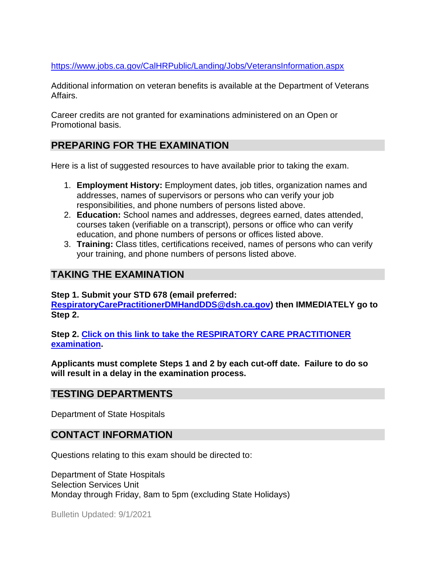<https://www.jobs.ca.gov/CalHRPublic/Landing/Jobs/VeteransInformation.aspx>

Additional information on veteran benefits is available at the Department of Veterans Affairs.

Career credits are not granted for examinations administered on an Open or Promotional basis.

## **PREPARING FOR THE EXAMINATION**

Here is a list of suggested resources to have available prior to taking the exam.

- 1. **Employment History:** Employment dates, job titles, organization names and addresses, names of supervisors or persons who can verify your job responsibilities, and phone numbers of persons listed above.
- 2. **Education:** School names and addresses, degrees earned, dates attended, courses taken (verifiable on a transcript), persons or office who can verify education, and phone numbers of persons or offices listed above.
- 3. **Training:** Class titles, certifications received, names of persons who can verify your training, and phone numbers of persons listed above.

#### **TAKING THE EXAMINATION**

**Step 1. Submit your STD 678 (email preferred:** 

**[RespiratoryCarePractitionerDMHandDDS@dsh.ca.gov\)](mailto:RespiratoryCarePractitionerDMHandDDS@dsh.ca.gov) then IMMEDIATELY go to Step 2.**

**Step 2. [Click on this link to take the RESPIRATORY CARE PRACTITIONER](https://www.surveymonkey.com/r/N9QYVSV) [examination.](https://www.surveymonkey.com/r/N9QYVSV)**

**Applicants must complete Steps 1 and 2 by each cut-off date. Failure to do so will result in a delay in the examination process.**

#### **TESTING DEPARTMENTS**

Department of State Hospitals

#### **CONTACT INFORMATION**

Questions relating to this exam should be directed to:

Department of State Hospitals Selection Services Unit Monday through Friday, 8am to 5pm (excluding State Holidays)

Bulletin Updated: 9/1/2021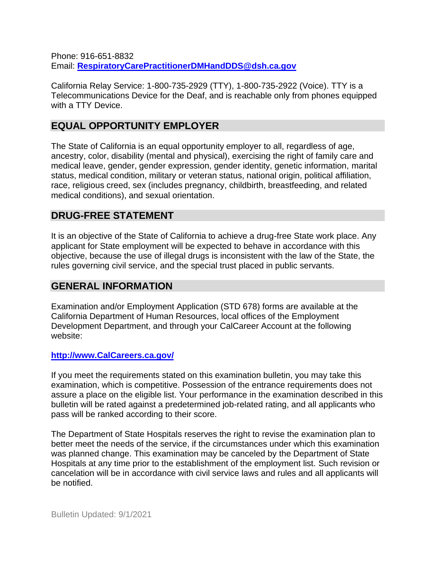Phone: 916-651-8832 Email: **[RespiratoryCarePractitionerDMHandDDS@dsh.ca.gov](mailto:RespiratoryCarePractitionerDMHandDDS@dsh.ca.gov)**

California Relay Service: 1-800-735-2929 (TTY), 1-800-735-2922 (Voice). TTY is a Telecommunications Device for the Deaf, and is reachable only from phones equipped with a TTY Device.

#### **EQUAL OPPORTUNITY EMPLOYER**

The State of California is an equal opportunity employer to all, regardless of age, ancestry, color, disability (mental and physical), exercising the right of family care and medical leave, gender, gender expression, gender identity, genetic information, marital status, medical condition, military or veteran status, national origin, political affiliation, race, religious creed, sex (includes pregnancy, childbirth, breastfeeding, and related medical conditions), and sexual orientation.

#### **DRUG-FREE STATEMENT**

It is an objective of the State of California to achieve a drug-free State work place. Any applicant for State employment will be expected to behave in accordance with this objective, because the use of illegal drugs is inconsistent with the law of the State, the rules governing civil service, and the special trust placed in public servants.

#### **GENERAL INFORMATION**

Examination and/or Employment Application (STD 678) forms are available at the California Department of Human Resources, local offices of the Employment Development Department, and through your CalCareer Account at the following website:

#### **http://www.CalCareers.ca.gov/**

If you meet the requirements stated on this examination bulletin, you may take this examination, which is competitive. Possession of the entrance requirements does not assure a place on the eligible list. Your performance in the examination described in this bulletin will be rated against a predetermined job-related rating, and all applicants who pass will be ranked according to their score.

The Department of State Hospitals reserves the right to revise the examination plan to better meet the needs of the service, if the circumstances under which this examination was planned change. This examination may be canceled by the Department of State Hospitals at any time prior to the establishment of the employment list. Such revision or cancelation will be in accordance with civil service laws and rules and all applicants will be notified.